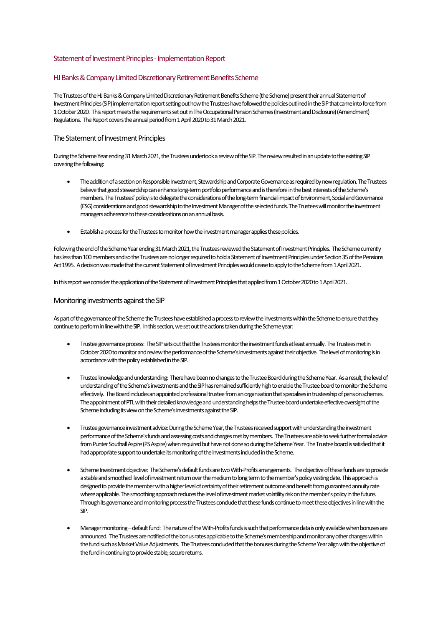# Statement of Investment Principles -Implementation Report

# HJ Banks & Company Limited Discretionary Retirement Benefits Scheme

The Trustees of the HJ Banks & Company Limited Discretionary Retirement Benefits Scheme (the Scheme) present their annual Statement of Investment Principles(SIP)implementationreport setting out how the Trustees have followed the policies outlined in the SIP that came into force from 1 October 2020. This report meets the requirements set out in The Occupational Pension Schemes (Investment and Disclosure) (Amendment) Regulations. The Report covers the annual period from 1 April 2020 to 31 March 2021.

# The Statement of Investment Principles

During the Scheme Year ending 31 March 2021, the Trustees undertook a review of the SIP. The review resulted in an update to the existing SIP covering the following:

- The addition of a section on Responsible Investment, Stewardship and Corporate Governance as required by new regulation. The Trustees believe that good stewardship can enhance long-term portfolio performance and is therefore in the best interests of the Scheme's members. The Trustees'policy is to delegate the considerations of the long-term financial impact of Environment, Social and Governance (ESG) considerations and good stewardship to the Investment Manager of the selected funds. The Trusteeswill monitor the investment managers adherence to these considerations on an annual basis.
- Establish a process for the Trustees to monitor how the investment manager applies these policies.

Following the end of the Scheme Year ending 31 March 2021, the Trustees reviewed the Statement of Investment Principles. The Scheme currently has less than 100 members and so the Trustees are no longer required to hold a Statement of Investment Principles under Section 35 of the Pensions Act 1995. A decision was made that the current Statement of Investment Principles would cease to apply to the Scheme from 1 April 2021.

In this report we consider the application of the Statement of Investment Principles that applied from 1 October 2020 to 1 April 2021.

#### Monitoring investments against the SIP

As part of the governance of the Scheme the Trustees have established a process to review the investments within the Scheme to ensure that they continue to perform in line with the SIP. In this section, we set out the actions taken during the Scheme year:

- Trustee governance process: The SIP sets out that the Trustees monitor the investment funds at least annually. The Trusteesmet in October 2020 to monitor and review the performance of the Scheme's investments against their objective. The level of monitoring is in accordance with the policy established in the SIP.
- Trustee knowledge and understanding: There have been no changes to the Trustee Board during the Scheme Year. As a result, the level of understanding of the Scheme's investmentsand the SIP has remained sufficiently high to enablethe Trustee board to monitor the Scheme effectively. The Board includes an appointed professional trusteefrom an organisation that specialises in trusteeship of pension schemes. The appointment of PTL with their detailed knowledge and understanding helps the Trustee board undertake effective oversight of the Scheme including its view on the Scheme's investments against the SIP.
- Trustee governance investment advice: During the Scheme Year, the Trustees received support with understanding the investment performance of the Scheme's funds and assessing costs and charges met by members. The Trustees are able to seek further formal advice from Punter Southall Aspire (PS Aspire) when required but have not done so during the Scheme Year. The Trustee board is satisfied that it had appropriate support to undertake its monitoring of the investments included in the Scheme.
- Scheme Investment objective: The Scheme's default funds are two With-Profits arrangements. The objective of these funds are to provide a stable and smoothed level of investment return over the medium to long term to the member's policy vesting date. This approach is designed to provide the member with a higher level of certainty of their retirement outcome and benefit from guaranteed annuity rate where applicable. The smoothing approach reducesthe level of investment market volatility risk on the member's policyin the future. Through its governance and monitoring process the Trustees conclude that these funds continue to meet these objectives in line with the SIP.
- Manager monitoring–default fund: The nature of the With-Profitsfunds is such that performance data is only available when bonuses are announced. The Trustees are notified of the bonus rates applicable to the Scheme's membership and monitor any other changes within the fund such as Market Value Adjustments. The Trustees concluded that the bonuses during the Scheme Year align with the objective of the fund in continuing to provide stable, secure returns.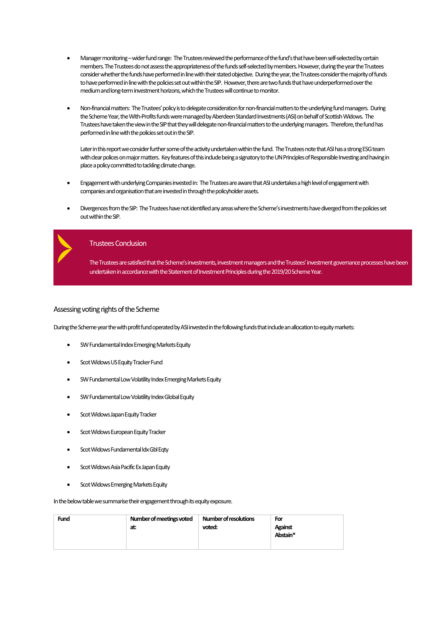- Manager monitoring wider fund range: The Trustees reviewed the performance of the fund's that have been self-selected by certain members. The Trustees do not assess the appropriateness of the funds self-selected by members. However, during the year the Trustees consider whether the funds have performed in line with theirstated objective. During the year, the Trustees consider the majority offunds to have performed in line with the policies set out within the SIP. However, there are two funds that have underperformed over the medium and long-term investment horizons, which the Trusteeswill continue to monitor.
- Non-financial matters: The Trustees' policy is to delegate consideration for non-financial mattersto the underlying fund managers. During the Scheme Year, the With-Profitsfunds were managed by Aberdeen Standard Investments(ASI) on behalf of Scottish Widows. The Trustees have taken the view in the SIP that theywill delegate non-financial matters to the underlying managers. Therefore, the fund has performed in line with the policies set out in the SIP.

Later in this report we consider further some of the activity undertaken within the fund. The Trustees note that ASI has a strong ESG team with clear polices on major matters. Key features of this include being a signatory to the UN Principles of Responsible Investing and having in place a policy committed to tackling climate change.

- Engagement with underlying Companies investedin: The Trustees are aware that ASI undertakesa high level of engagement with companies and organisation that are invested in through the policyholder assets.
- Divergences from the SIP: The Trustees have not identified any areas where the Scheme's investments have diverged from the policies set out within the SIP.



#### Trustees Conclusion

The Trustees are satisfied that the Scheme's investments, investment managers and the Trustees' investment governance processes have been undertaken in accordance with the Statement of Investment Principles during the 2019/20 Scheme Year.

#### Assessing voting rights of the Scheme

During the Scheme year the with profit fund operated by ASI invested in thefollowing funds that include an allocation to equity markets:

- SW Fundamental Index Emerging Markets Equity
- Scot Widows US Equity Tracker Fund
- SW Fundamental Low Volatility Index Emerging Markets Equity
- SW Fundamental Low Volatility Index Global Equity
- Scot Widows Japan Equity Tracker
- Scot Widows European Equity Tracker
- Scot Widows Fundamental Idx Gbl Eqty
- Scot Widows Asia Pacific Ex Japan Equity
- Scot Widows Emerging Markets Equity

In the below table we summarise their engagement through its equity exposure.

| Number of meetings voted<br><b>Fund</b><br>at: | <b>Number of resolutions</b><br>voted: | For<br>Against<br>Abstain* |
|------------------------------------------------|----------------------------------------|----------------------------|
|------------------------------------------------|----------------------------------------|----------------------------|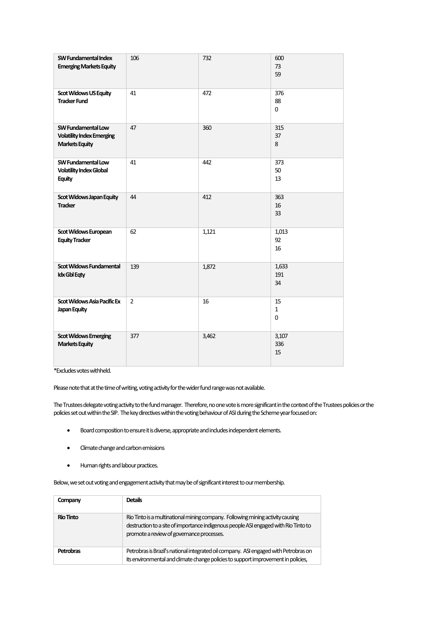| SW Fundamental Index<br><b>Emerging Markets Equity</b>                          | 106            | 732   | 600<br>73<br>59         |
|---------------------------------------------------------------------------------|----------------|-------|-------------------------|
| <b>Scot Widows US Equity</b><br><b>Tracker Fund</b>                             | 41             | 472   | 376<br>88<br>0          |
| SW Fundamental Low<br><b>Volatility Index Emerging</b><br><b>Markets Equity</b> | 47             | 360   | 315<br>37<br>8          |
| SW Fundamental Low<br><b>Volatility Index Global</b><br><b>Equity</b>           | 41             | 442   | 373<br>50<br>13         |
| Scot Widows Japan Equity<br><b>Tracker</b>                                      | 44             | 412   | 363<br>16<br>33         |
| Scot Widows European<br><b>Equity Tracker</b>                                   | 62             | 1,121 | 1,013<br>92<br>16       |
| <b>Scot Widows Fundamental</b><br><b>Idx Gbl Eqty</b>                           | 139            | 1,872 | 1,633<br>191<br>34      |
| Scot Widows Asia Pacific Ex<br>Japan Equity                                     | $\overline{2}$ | 16    | 15<br>$\mathbf{1}$<br>0 |
| <b>Scot Widows Emerging</b><br><b>Markets Equity</b>                            | 377            | 3,462 | 3,107<br>336<br>15      |

\*Excludes votes withheld.

Please note that at the time of writing, voting activity for the wider fund range was not available.

The Trustees delegate voting activity to the fund manager. Therefore, no one vote is more significant in the context of the Trustees policies or the policies set out within the SIP. The key directives within the voting behaviour of ASI during the Scheme year focused on:

- Board composition to ensure it is diverse, appropriate and includes independent elements.
- Climate change and carbon emissions
- Human rights and labour practices.

Below, we set out voting and engagement activity that may be of significant interest to our membership.

| Company          | <b>Details</b>                                                                                                                                                                                                     |
|------------------|--------------------------------------------------------------------------------------------------------------------------------------------------------------------------------------------------------------------|
| <b>Rio Tinto</b> | Rio Tinto is a multinational mining company. Following mining activity causing<br>destruction to a site of importance indigenous people ASI engaged with Rio Tinto to<br>promote a review of governance processes. |
| Petrobras        | Petrobras is Brazil's national integrated oil company. ASI engaged with Petrobras on<br>its environmental and climate change policies to support improvement in policies,                                          |